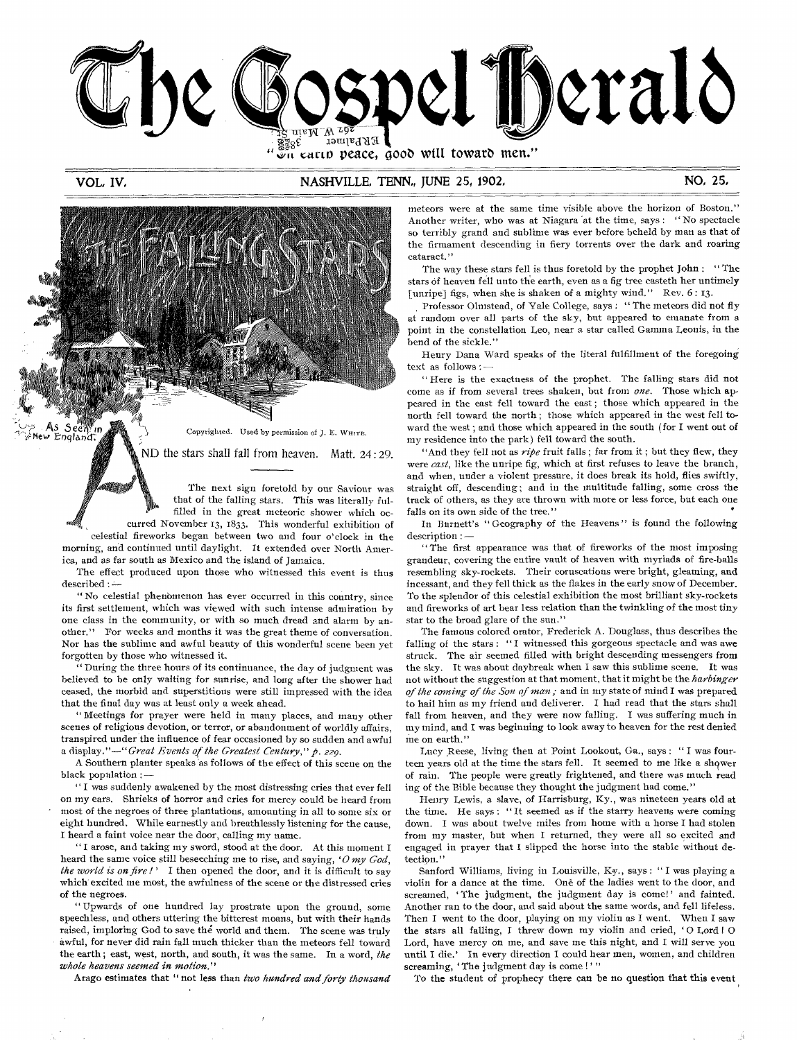

# VOL, IV. NASHVILLE, TENN., JUNE 25, 1902.



Copyrighted. Used by permission of J. E. WHITE.

ND the stars shall fall from heaven. Matt. 24: 29.

The next sign foretold by our Saviour was ) that of the falling stars. This was literally fulfilled in the great meteoric shower which occurred November 13, 1833. This wonderful exhibition of celestial fireworks began between two and four o'clock in the

morning, and continued until daylight. It extended over North America, and as far south as Mexico and the island of Jamaica.

The effect produced upon those who witnessed this event is thus described : -

" No celestial phenomenon has ever occurred in this country, since its first settlement, which was viewed with such intense admiration by one class in the community, or with so much dread and alarm by another." For weeks and months it was the great theme of conversation. Nor has the sublime and awful beauty of this wonderful scene been yet forgotten by those who witnessed it.

"During the three hours of its continuance, the day of judgment was believed to be only waiting for sunrise, and long after the shower had ceased, the morbid and superstitious were still impressed with the idea that the final day was at least only a week ahead.

" Meetings for prayer were held in many places, and many other scenes of religious devotion, or terror, or abandonment of worldly affairs, transpired under the influence of fear occasioned by so sudden and awful a display."—"Great *Events of the Greatest Century," p. 229.* 

A Southern planter speaks as follows of the effect of this scene on the black population :-

" I was suddenly awakened by the most distressing cries that ever fell on my ears. Shrieks of horror and cries for mercy could be heard from most of the negroes of three plantations, amounting in all to some six or eight hundred, While earnestly and breathlessly listening for the cause, I heard a faint voice near the door, calling my name.

" I arose, and taking my sword, stood at the door. At this moment I heard the same voice still beseeching me to rise, and saying, *'0* my *God, the world is on fire !* I then opened the door, and it is difficult to say which excited me most, the awfulness of the scene or the distressed cries of the negroes.

" Upwards of one hundred lay prostrate upon the ground, some speechless, and others uttering the bitterest moans, but with their hands raised, imploring God to save the world and them. The scene was truly awful, for never did rain fall much thicker than the meteors fell toward the earth ; east, west, north, and south, it was the same. In a word, *the whole heavens seemed in motion."* 

Arago estimates that " not less than *two hundred and forty thousand* 

meteors were at the same time visible above the horizon of Boston." Another writer, who was at Niagara at the time, says: "No spectacle so terribly grand and sublime was ever before beheld by man as that of the firmament descending in fiery torrents over the dark and roaring cataract."

The way these stars fell is thus foretold by the prophet John : " The stars of heaven fell unto the earth, even as a fig tree casteth her untimely [unripe] figs, when she is shaken of a mighty wind." Rev. 6: 13.

Professor Olmstead, of Vale College, says : " The meteors did not fly at random over all parts of the sky, but appeared to emanate from a point in the constellation Leo, near a star called Gamma Leonis, in the bend of the sickle."

Henry Dana Ward speaks of the literal fulfillment of the foregoing text as follows : —

" Here is the exactness of the prophet. The falling stars did not come as if from several trees shaken, but from *one.* Those which appeared in the east fell toward the east ; those which appeared in the north fell toward the north ; those which appeared in the west fell toward the west ; and those which appeared in the south (for I went out of my residence into the park) fell toward the south.

"And they fell not as  $ripe$  fruit falls; far from it; but they flew, they were *cast,* like the unripe fig, which at first refuses to leave the branch, and when, under a violent pressure, it does break its hold, flies swiftly, straight off, descending ; and in the multitude falling, some cross the track of others, as they are thrown with more or less force, but each one falls on its own side of the tree."

In Burnett's " Geography of the Heavens " is found the following description : —

" The first appearance *was* that of fireworks of the most imposing grandeur, covering the entire vault of heaven with myriads of fire-balls resembling sky-rockets. Their coruscations were bright, gleaming, and incessant, and they fell thick as the flakes in the early snow of December. To the splendor of this celestial exhibition the most brilliant sky-rockets and fireworks of art bear less relation than the twinkling of the most tiny star to the broad glare of the sun."

The famous colored orator, Frederick A. Douglass, thus describes the falling of the stars: "I witnessed this gorgeous spectacle and was awe struck. The air seemed filled with bright descending messengers from the sky. It was about daybreak when I saw this sublime scene. It was not without the suggestion at that moment, that it might be the *harbinger of the coming of the Son of man;* and in my state of mind I was prepared to hail him as my friend and deliverer. I had read that the stars shall fall from heaven, and they were now falling. I was suffering much in my mind, and I was beginning to look away to heaven for the rest denied me on earth."

Lucy Reese, living then at Point Lookout, Ga., says : " I was fourteen years old at the time the stars fell. It seemed to me like a shower of rain. The people were greatly frightened, and there was much read ing of the Bible because they thought the judgment had come."

Henry Lewis, a slave, of Harrisburg, Ky., was nineteen years old at the time. He says : " It seemed as if the starry heavens were coming down. I was about twelve miles from home with a horse I had stolen from my master, but when I returned, they were all so excited and engaged in prayer that I slipped the horse into the stable without detection."

Sanford Williams, living in Louisville, Ky., says : " I was playing a violin for a dance at the time. One of the ladies went to the door, and screamed, 'The judgment, the judgment day is come!' and fainted. Another ran to the door, and said about the same words, and fell lifeless. Then I went to the door, playing on my violin as I went. When I saw the stars all falling, I threw down my violin and cried, 'O Lord ! O Lord, have mercy on me, and save me this night, and I will serve you until I die.' In every direction I could hear men, women, and children screaming, 'The judgment day is come !'"

To the student of prophecy there can be no question that this event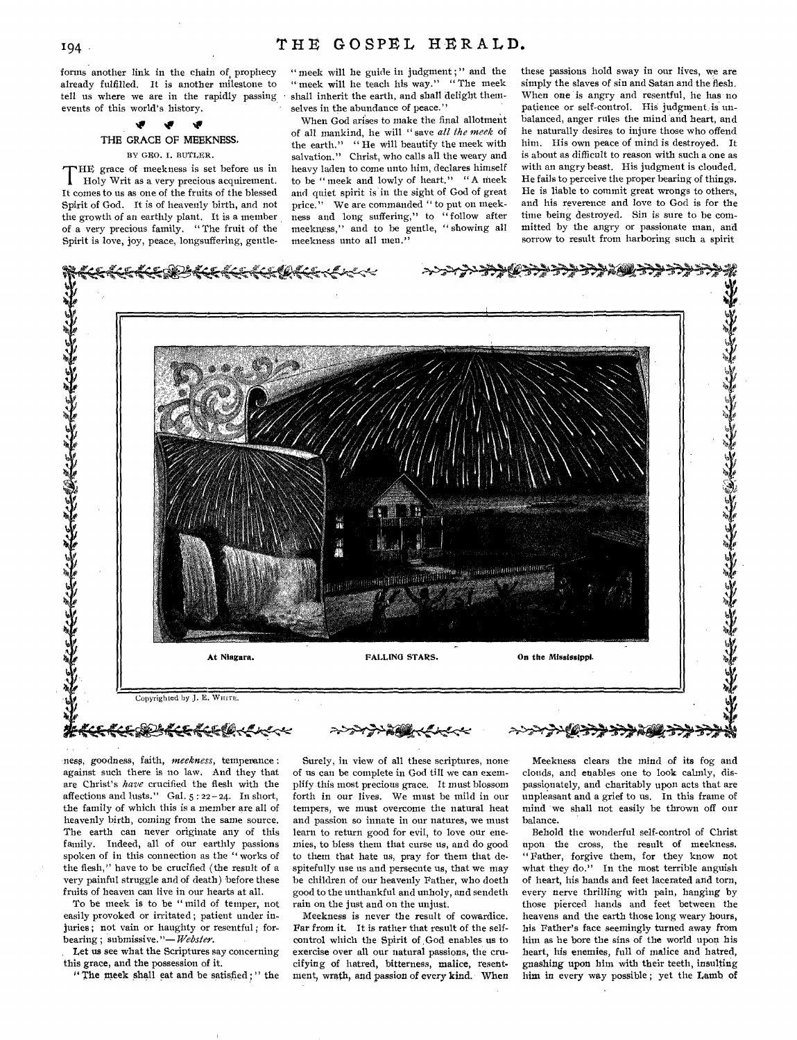forms another link in the chain of, prophecy already fulfilled. It is another milestone to tell us where we are in the rapidly passing events of this world's history.

# **'IF**  THE GRACE OF MEEKNESS,

#### BY GEO. I. BUTLER.

THE grace of meekness is set before us in<br>Holy Writ as a very precious acquirement.<br>It comes to us as one of the fruits of the blessed HE grace of meekness is set before us in Holy Writ as a very precious acquirement. Spirit of God. It is of heavenly birth, and not the growth of an earthly plant. It is a member of a very precious family. " The fruit of the Spirit is love, joy, peace, longsuffering, gentle" meek will he guide in judgment;" and the " meek will he teach his way." " The meek shall inherit the earth, and shall delight themselves in the abundance of peace."

When God arises to make the final allotment of all mankind, he will " save *all the meek* of the earth." "He will beautify the meek with salvation." Christ, who calls all the weary and heavy laden to come unto him, declares himself to be " meek and lowly of heart." " A meek and quiet spirit is in the sight of God of great price." We are commanded " to put on meekness and long suffering," to "follow after meekness," and to be gentle, "showing all meekness unto all men."

these passions hold sway in our lives, we are simply the slaves of sin and Satan and the flesh. When one is angry and resentful, he has no patience or self-control. His judgment, is unbalanced, anger rules the mind and heart, and he naturally desires to injure those who offend him. His own peace of mind is destroyed. It is about as difficult to reason with such a one as with an angry beast. His judgment is clouded. He fails to perceive the proper bearing of things. He is liable to commit great wrongs to others, and his reverence and love to God is for the time being destroyed. Sin is sure to be committed by the angry or passionate man, and sorrow to result from harboring such a spirit



ness, goodness, faith, *meekness,* temperance : against such there is no law. And they that are Christ's *have* crucified the flesh with the affections and lusts." Gal. 5 : 22— 24. In short, the family of which this is a member are all of heavenly birth, coming from the same source. The earth can never originate any of this family. Indeed, all of our earthly passions spoken of in this connection as the "works of the flesh," have to be crucified (the result of a very painful struggle and of death) before these fruits of heaven can live in our hearts at all.

To be meek is to be " mild of temper, not easily provoked or irritated ; patient under injuries; not vain or haughty or resentful; forbearing ; submissive."— *Webster.* 

Let us see what the Scriptures say concerning this grace, and the possession of it.

" The meek shall eat and be satisfied ; " the

Surely, in view of all these scriptures, none of us can be complete in God till we can exemplify this most precious grace. It must blossom forth in our lives. We must be mild in our tempers, we must overcome the natural heat and passion so innate in our natures, we must learn to return good for evil, to love our enemies, to bless them that curse us, and do good to them that hate us, pray for them that despitefully use us and persecute us, that we may be children of our heavenly Father, who doeth good to the unthankful and unholy, and sendeth rain on the just and on the unjust.

Meekness is never the result of cowardice. Far from it. It is rather that result of the selfcontrol which the Spirit of God enables us to exercise over all our natural passions, the crucifying of hatred, bitterness, malice, resentment, wrath, and passion of every kind. When

Meekness clears the mind of its fog and clouds, and enables one to look calmly, dispassionately, and charitably upon acts that are unpleasant and a grief to us. In this frame of mind we shall not easily be thrown off our balance.

Behold the wonderful self-control of Christ upon the cross, the result of meekness. " Father, forgive them, for they know not what they do." In the most terrible anguish of heart, his hands and feet lacerated and torn, every nerve thrilling with pain, hanging by those pierced hands and feet between the heavens and the earth those long weary hours, his Father's face seemingly turned away from him as he bore the sins of the world upon his heart, his enemies, full of malice and hatred, gnashing upon him with their teeth, insulting him in every way possible ; yet the Lamb of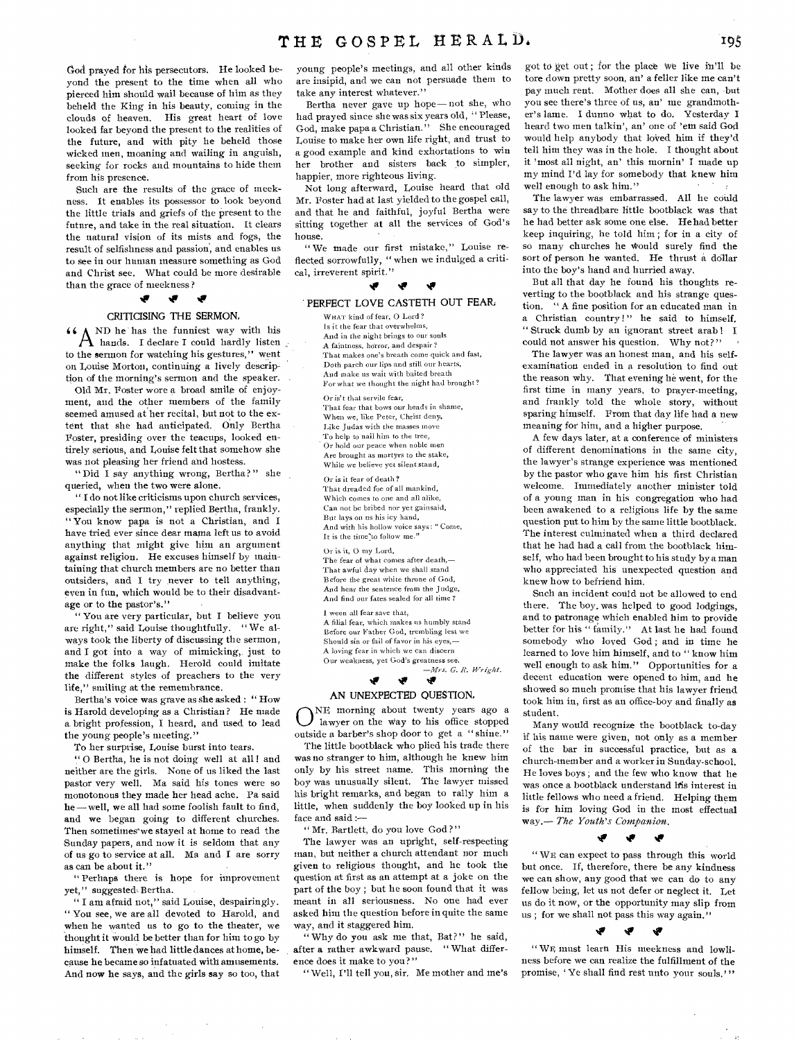God prayed for his persecutors. He looked beyond the present to the time when all who pierced him should wail because of him as they beheld the King in his beauty, coming in the clouds of heaven. His great heart of love looked far beyond the present to the realities of the future, and with pity he beheld those wicked men, moaning and wailing in anguish, seeking for rocks and mountains to hide them from his presence.

Such are the results of the grace of meekness. It enables its possessor to look beyond the little trials and griefs of the present to the future, and take in the real situation. It clears the natural vision of its mists and fogs, the result of selfishness and passion, and enables us to see in our human measure something as God and Christ see. What could be more desirable than the grace of meekness ?

#### CRITICISING THE SERMON,

A ND he has the funniest way with his<br>A hands. I declare I could hardly listen  $\Lambda$  hands. I declare I could hardly listen  $\Box$ to the sermon for watching his gestures," went on Louise Morton, continuing a lively description of the morning's sermon and the speaker.

Old Mr. Foster wore a broad smile of enjoyment, and the other members of the family seemed amused at her recital, but not to the extent that she had anticipated. Only Bertha Foster, presiding over the teacups, looked entirely serious, and Louise felt that somehow she was not pleasing her friend and hostess.

" Did I say anything wrong, Bertha? " she queried, when the two were alone.

" I do not like criticisms upon church services, especially the sermon," replied Bertha, frankly. " You know papa is not a Christian, and I have tried ever since dear mama left us to avoid anything that might give him an argument against religion. He excuses himself by maintaining that church members are no better than outsiders, and I try never to tell anything, even in fun, which would be to their disadvantage or to the pastor's."

" You are very particular, but I believe you are right," said Louise thoughtfully. " We always took the liberty of discussing the sermon, and I got into a way of mimicking, just to make the folks laugh. Herold could imitate the different styles of preachers to the very life," smiling at the remembrance.

Bertha's voice was grave as she asked : " How is Harold developing as a Christian? He made a bright profession, I heard, and used to lead the young people's meeting."

To her surprise, Louise burst into tears.

"O Bertha, he is not doing well at all ! and neither are the girls. None of us liked the last pastor very well. Ma said his tones were so monotonous they made her head ache. Pa said he — well, we all had some foolish fault to find, and we began going to different churches. Then sometimes'we stayed at home to read the Sunday papers, and now it is seldom that any of us go to service at all. Ma and I are sorry as can be about it."

" Perhaps there is hope for improvement yet," suggested Bertha.

" I am afraid not," said Louise, despairingly. " You see, we are all devoted to Harold, and when he wanted us to go to the theater, we thought it would be better than for him to go by himself. Then we had little dances at home, because he became so infatuated with amusements. And now he says, and the girls say so too, that young people's meetings, and all other kinds are insipid, and we can not persuade them to take any interest whatever."

Bertha never gave up hope— not she, who had prayed since she was six years old, "Please, God, make papa a Christian." She encouraged Louise to make her own life right, and trust to a good example and kind exhortations to win her brother and sisters back to simpler, happier, more righteous living.

Not long afterward, Louise heard that old Mr. Foster had at last yielded to the gospel call, and that he and faithful, joyful Bertha were sitting together at all the services of God's house.

" We made our first mistake," Louise reflected sorrowfully, " when we indulged a critical, irreverent spirit."

#### ÷ *+P*

### PERFECT LOVE CASTETH OUT FEAR,

WHAT kind of fear, 0 Lord ? Is **it the fear that overwhelms,**  And in **the night brings to our souls A faintness, horror, and despair?**  That **makes one's** breath come **quick and** fast, Doth **parch our lips** and still our **hearts, And make us wait** with baited breath For **what we thought the night** had brought ?

**Or is't that servile fear,**  That fear that bows our heads in shame, When we, like **Peter, Christ deny,**  Like **Judas with the masses move**  To help to **nail him to the tree,**  Or hold our **peace when noble men**  Are brought **as martyrs** to the **stake,**  While we **believe yet** silent stand,

Or is **it fear of death? That dreaded foe of all** mankind, **Which comes to one and** all **alike, Can not be bribed nor yet gainsaid, But lays on us his icy hand,**  And **with his hollow voice says: " Com**e, It is the time to follow me."

**Or is it, 0 my Lord, The fear of what comes after death,— That awful day when we shall stand**  Before the **great white throne of God,**  And hear **the sentence from** the Judge, And find **our fates sealed** for all time ?

I weep **all fear save that,**  A **filial fear, which makes** us humbly **stand Before our Father God, trembling lest we Should sin or fail of favor in his eyes,—**  A **loving fear in which we can discern**  Our **weakness, yet God's greatness see.**  *—Mrs. G. R. Wright.* 

# 'F %Iv

# AN UNEXPECTED QUESTION,

ONE morning about twenty years ago a<br>outside a barber's shop door to get a "shine." NE morning about twenty years ago a lawyer on the Way to his office stopped

The little bootblack who plied his trade there was no stranger to him, although he knew him only by his street name. This morning the boy was unusually silent. The lawyer missed his bright remarks, and began to rally him a little, when suddenly the boy looked up in his face and said :—

Mr. Bartlett, do you love God ? "

The lawyer was an upright, self-respecting man, but neither a church attendant nor much given to religious thought, and he took the question at first as an attempt at a joke on the part of the boy ; but he soon found that it was meant in all seriousness. No one had ever asked him the question before in quite the same way, and it staggered him.

" Why do you ask me that, Bat?" he said, after a rather awkward pause. " What difference does it make to you?"

" Well, I'll tell you, sir. Me mother and me's

got to get out ; for the place We live in'll be tore down pretty soon, an' a feller like me can't pay much rent. Mother does all she can, but you see there's three of us, an' me grandmother's lame. I dunno what to do. Yesterday I heard two men talkin', an' one of 'em said God would help anybody that loved him if they'd tell him they was in the hole. I thought about it 'most all night, an' this mornin' I made up my mind I'd lay for somebody that knew him well enough to ask him,"

The lawyer was embarrassed. All he could say to the threadbare little bootblack was that he had better ask some one else. He had better keep inquiring, he told him ; for in a city of so many churches he would surely find the sort of person he wanted. He thrust a dollar into the boy's hand and hurried away.

But all that day he found his thoughts reverting to the bootblack and his strange question. " A fine position for an educated man in a Christian country!" he said to himself. " Struck dumb by an ignorant street arab I I could not answer his question. Why not?"

The lawyer was an honest man, and his selfexamination ended in a resolution to find out the reason why. That evening he went, for the first time in many years, to prayer-meeting, and frankly told the whole story, without sparing himself. From that day life had a new meaning for him, and a higher purpose.

A few days later, at a conference of ministers of different denominations in the same city, the lawyer's strange experience was mentioned by the pastor who gave him his first Christian welcome. Immediately another minister told of a young man in his congregation who had been awakened to a religious life by the same question put to him by the same little bootblack. The interest culminated when a third declared that he had had a call from the bootblack himself, who had been brought to his study by a man who appreciated his unexpected question and knew how to befriend him.

Such an incident could not be allowed to end there. The boy, was helped to good lodgings, and to patronage which enabled him to provide better for his " family." At last he had found somebody who loved God; and in time he learned to love him himself, and to " know him well enough to ask him." Opportunities for a decent education were opened to him, and he showed so much promise that his lawyer friend took him in, first as an office-boy and finally as student.

Many would recognize the bootblack to-day if his name were given, not only as a member of the bar in successful practice, but as a church-member and a worker in Sunday-school. He loves boys ; and the few who know that he was once a bootblack understand his interest in little fellows who need a friend. Helping them is for him loving God in the most effectual way.— *The Youth's Companion.* 

*"* WE can expect to pass through this world but once. If, therefore, there be any kindness we can show, any good that we can do to any fellow being, let us not defer or neglect it. Let us do it now, or the opportunity may slip from us ; for we shall not pass this way again."

**'F 'F 'F** 

**" WE** must learn His meekness and lowliness before we can realize the fulfillment of the promise, 'Ye shall find rest unto your souls.'"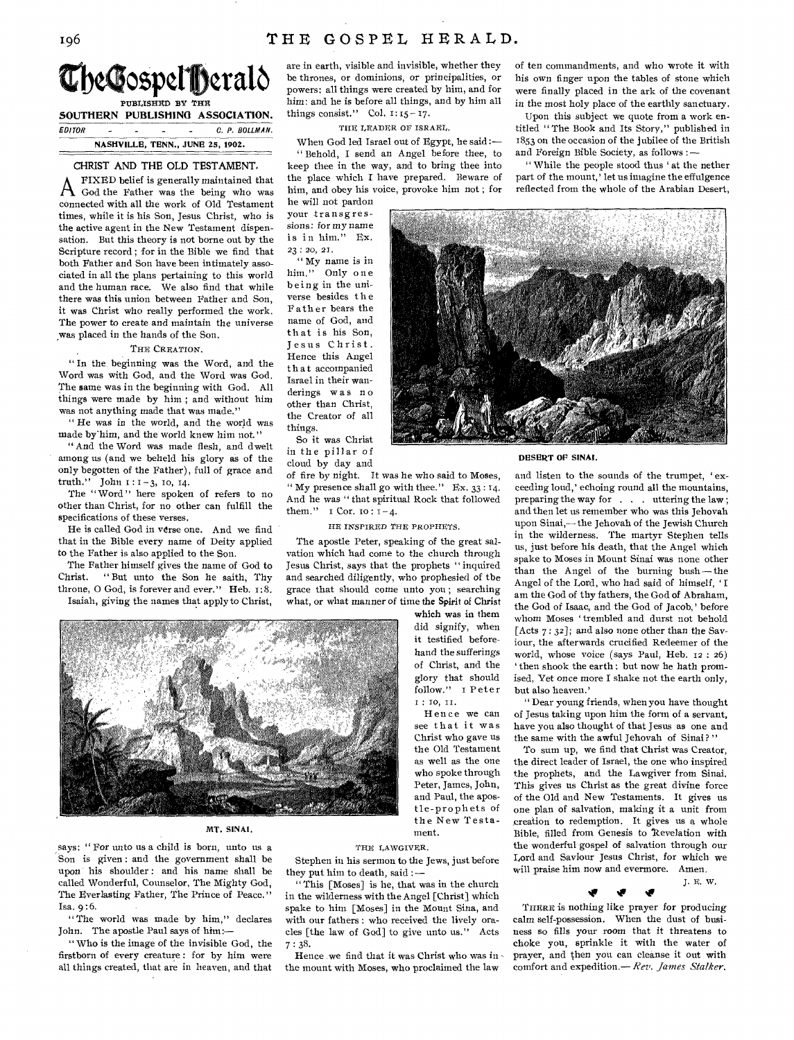

PUBLISHED BY THE **SOUTHERN PUBLISHING ASSOCIATION.**  *EDITOR C. P. BOLLMAN.* 

# **NASHVILLE, TENN., JUNE 25, 1902.**

# CHRIST AND THE OLD TESTAMENT,

A God the Father was the being who was FIXED belief is generally maintained that connected with all the work of Old Testament times, while it is his Son, Jesus Christ, who is the active agent in the New Testament dispensation. But this theory is not borne out by the Scripture record ; for in the Bible we find that both Father and Son have been intimately associated in all the plans pertaining to this world and the human race. We also find that while there was this union between Father and Son, it was Christ who really performed the work. The power to create and maintain the universe was placed in the hands of the Son.

#### THE CREATION.

" In the beginning was the Word, and the Word was with God, and the Word was God. The same was in the beginning with God. All things were made by him ; and without him was not anything made that was made."

" He was in the world, and the world was made by'him, and the world knew him not."

" And the Word was made flesh, and dwelt among us (and we beheld his glory as of the only begotten of the Father), full of grace and truth." John 1 : I —3, 10, 14.

The "Word" here spoken of refers to no other than Christ, for no other can fulfill the specifications of these verses.

He is called God in verse one. And we find that in the Bible every name of Deity applied to the Father is also applied to the Son.

The Father himself gives the name of God to Christ. " But unto the Son he saith, Thy throne,  $O God$ , is forever and ever." Heb.  $1:8$ . Isaiah, giving the names that apply to Christ,

are in earth, visible and invisible, whether they be thrones, or dominions, or principalities, or powers: all things were created by him, and for him: and he is before all things, and by him all things consist." Col.  $1:15-17$ .

### THE LEADER OF ISRAEL.

When God led Israel out of Egypt, he said :— " Behold, I send an Angel before thee, to keep thee in the way, and to bring thee into the place which I have prepared. Beware of him, and obey his voice, provoke him not ; for

he will not pardon your transgressions: for my name is in him." Ex. 23 : 20, 21.

" My name is in him." Only one being in the universe besides t h e Father bears the name of God, and that is his Son, Jesus Christ. Hence this Angel that accompanied Israel in their wanderings was no other than Christ, the Creator of all things.

So it was Christ in the pillar of cloud by day and

of fire by night. It was he who said to Moses, " My presence shall go with thee." Ex.  $33:14$ . And he was " that spiritual Rock that followed them."  $\top$  Cor. 10:  $1-4$ .

#### HE INSPIRED THE PROPHETS.

The apostle Peter, speaking of the great salvation which had come to the church through Jesus Christ, says that the prophets " inquired and searched diligently, who prophesied of the grace that should come unto you ; searching what, or what manner of time the Spirit of Christ



#### **MT. SINAI.**

says: "For unto us a child is born, unto us a Son is given : and the government shall be upon his shoulder: and his name shall be called Wonderful, Counselor, The Mighty God, The Everlasting Father, The Prince of Peace." Isa. 9 :6.

" The world was made by him," declares John. The apostle Paul says of him:—

" Who is the image of the invisible God, the firstborn of every creature : for by him were all things created, that are in heaven, and that



#### **DESERT OF SINAI.**

and listen to the sounds of the trumpet, 'exceeding loud,' echoing round all the mountains, preparing the way for . . . uttering the law; and then let us remember who was this Jehovah upon Sinai,— the Jehovah of the Jewish Church in the wilderness. The martyr Stephen tells us, just before his death, that the Angel which spake to Moses in Mount Sinai was none other than the Angel of the burning bush— the Angel of the Lord, who had said of himself, 'I am the God of thy fathers, the God of Abraham, the God of Isaac, and the God of Jacob,' before whom Moses 'trembled and durst not behold [Acts  $7:32$ ]; and also none other than the Saviour, the afterwards crucified Redeemer of the world, whose voice (says Paul, Heb. 12 : 26) then shook the earth : but now he hath promised, Yet once more I shake not the earth only, but also heaven.'

" Dear young friends, when you have thought of Jesus taking upon him the form of a servant, have you also thought of that Jesus as one and the same with the awful Jehovah of Sinai? "

To sum up, we find that Christ was Creator, the direct leader of Israel, the one who inspired the prophets, and the Lawgiver from Sinai. This gives us Christ as the great divine force of the Old and New Testaments. It gives us one plan of salvation, making it a unit from ,creation to redemption. It gives us a whole Bible, filled from Genesis to Revelation with the wonderful gospel of salvation through our Lord and Saviour Jesus Christ, for which we will praise him now and evermore. Amen.



J. E. W.

THERE is nothing like prayer for producing calm self-possession. When the dust of business so fills your room that it threatens to choke you, sprinkle it with the water of prayer, and then you can cleanse it out with comfort and expedition.— *Rev. James Stalker.* 

glory that should follow." I Peter I : IO, Hence we can see that it was Christ who gave us the Old Testament as well as the one who spoke through Peter, James, John, and Paul, the apostle-prophets of

the New Testa-

ment.

THE LAWGIVER. Stephen in his sermon to the Jews, just before

" This [Moses] is he, that was in the church in the wilderness with the Angel [Christ] which spake to him [Moses] in the Mount Sina, and with our fathers : who received the lively oracles [the law of God] to give unto us." Acts

Hence we find that it was Christ who was in the mount with Moses, who proclaimed the law

they put him to death, said :—

 $7:38.$ 

which was in them did signify, when it testified beforehand the sufferings of Christ, and the of ten commandments, and who wrote it with his own finger upon the tables of stone which were finally placed in the ark of the covenant in the most holy place of the earthly sanctuary.

Upon this subject we quote from a work entitled "The Book and Its Story," published in 1853 on the occasion of the jubilee of the British and Foreign Bible Society, as follows :

" While the people stood thus ' at the nether part of the mount,' let us imagine the effulgence reflected from the whole of the Arabian Desert,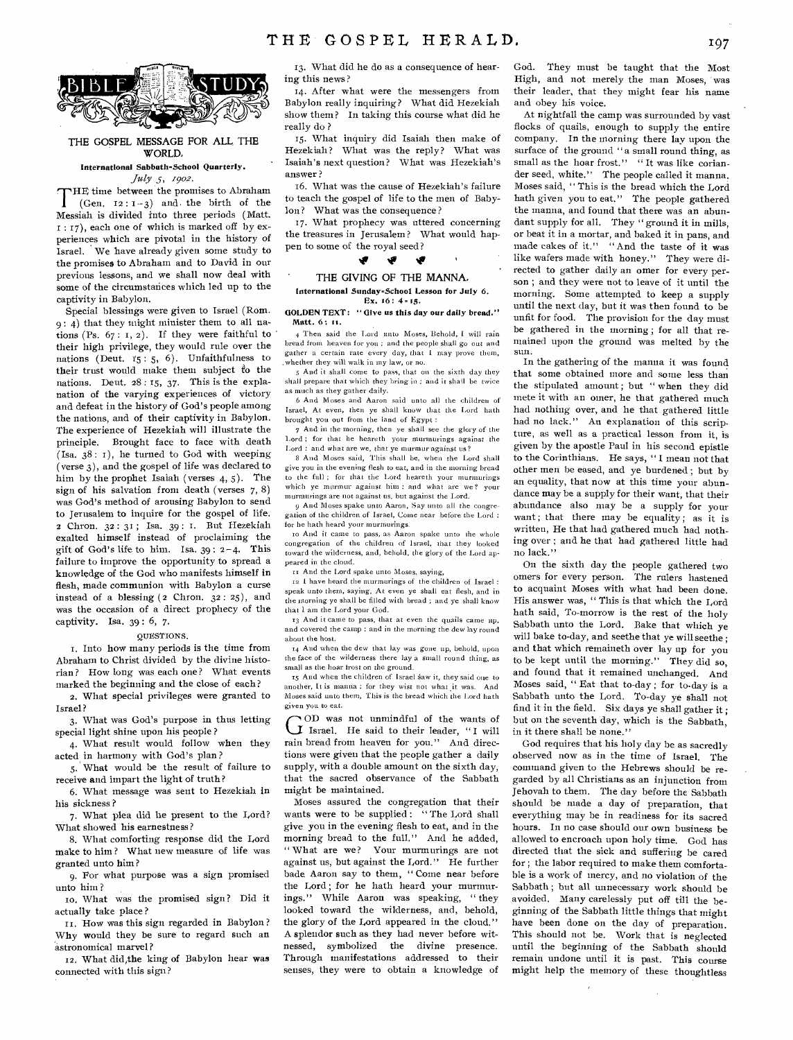

#### THE GOSPEL MESSAGE FOR ALL THE WORLD,

#### International Sabbath-School Quarterly. *July 5, 1902.*

THE time between the promises to Abraham (Gen.  $12:1-3$ ) and the birth of the Messiah is divided into three periods (Matt. I : 17), each one of which is marked off by experiences which are pivotal in the history of Israel. We have already given some study to the promises to Abraham and to David in our previous lessons, and we shall now deal with some of the circumstances which led up to the captivity in Babylon.

Special blessings were given to Israel (Rom. 9: 4) that they might minister them to all nations (Ps. 67 : r, 2). If they were faithful to their high privilege, they would rule over the nations (Deut.  $r_5$ : 5, 6). Unfaithfulness to their trust would make them subject fo the nations. Dent. 28 : 15, 37. This is the explanation of the varying experiences of victory and defeat in the history of God's people among the nations, and of their captivity in Babylon. The experience of Hezekiah will illustrate the principle. Brought face to face with death (Isa. 38: I), he turned to God with weeping (verse 3), and the gospel of life was declared to him by the prophet Isaiah (verses 4, 5). The sign of his salvation from death (verses 7, 8) was God's method of arousing Babylon to send to Jerusalem to inquire for the gospel of life. 2 Chron. 32 : 31 ; Isa. 39 : 1. But Hezekiah exalted himself instead of proclaiming the gift of God's life to him. Isa.  $39: 2-4$ . This failure to improve the opportunity to spread a knowledge of the God who manifests himself in flesh, made communion with Babylon a curse instead of a blessing  $(2 \text{Chron. } 32: 25)$ , and was the occasion of a direct prophecy of the captivity. Isa. 39 : 6, 7.

#### QUESTIONS.

1. Into how many periods is the time from Abraham to Christ divided by the divine historian? How long was each one? What events marked the beginning and the close of each?

2. What special privileges were granted to Israel?

3. What was God's purpose in thus letting special light shine upon his people ?

4. What result would follow when they acted in harmony with God's plan ?

5.' What would be the result of failure to receive and impart the light of truth?

6. What message was sent to Hezekiah in his sickness ?

7. What plea did he present to the Lord? What showed his earnestness?

8. What comforting response did the Lord make to him ? What new measure of life was granted unto him?

9. For what purpose was a sign promised unto him ?

to. What was the promised sign? Did it actually take place ?

I1, How was this sign regarded in Babylon ? Why would they be sure to regard such an astronomical marvel?

12. What did, the king of Babylon hear was connected with this sign?

13. What did he do as a consequence of hearing this news?

14. After what were the messengers from Babylon really inquiring? What did Hezekiah show them? In taking this course what did he really do ?

15. What inquiry did Isaiah then make of Hezekiah? What was the reply? What was Isaiah's next question? What was Hezekiah's answer?

16. What was the cause of Hezekiah's failure to teach the gospel of life to the men of Babylon? What was the consequence?

17. What prophecy was uttered concerning the treasures in Jerusalem? What would happen to some of the royal seed?<br> **V** 

#### THE GIVING OF THE MANNA, International Sunday-School Lesson for July 6. Ex. 16: 4=13.

GOLDEN TEXT: " Give us this day our daily bread." Matt. 6: is.

4 Then said the Lord unto Moses, Behold, i will rain bread from heaven for you ; and the people shall go out and gather a certain rate every day, that I may prove them, whether they will walk in my law, or no.

5 And it shall come to pass, that on the sixth day they shall prepare that which they bring in ; and it shall be twice as much as they gather daily.

6 And Moses and Aaron said unto all the children of Israel, At even, then ye shall know that the Lord bath brought you out from the land of Egypt :

7 And in the morning, then ye shall see the glory of the Lord ; for that he heareth your murmurings against the Lord : and what are we, that ye murmur against us?

8 And Moses said, This shall be, when the Lord shall give you in the evening flesh to eat, and in the morning bread to the full ; for that the Lord heareth your murmurings which ye murmur against him : and what are we? your murmurings are not against us, but against the Lord.

9 And Moses spake unto Aaron, Say unto all the congregation of the children of Israel, Come near before the Lord : for he bath heard your murmurings.

so And it came to pass, as Aaron spake unto the whole congregation of the children of Israel, that they looked toward the wilderness, and, behold, the glory of the Lord appeared in the cloud.

rx And the Lord spake unto Moses, saying,

**12** 1 have heard the murmurings of the children of Israel : speak unto them, saying. At even ye shall eat flesh, and in the morning ye shall be filled with bread ; and ye shall know that 1 am the Lord your God.

13 And it came to pass, that at even the quails came up, and covered the camp : and in the morning the dew lay round about the host.

r4 And when the dew that lay was gone up, behold, upon the face of the wilderness there lay a small round thing, as small as the hoar frost on *the* ground.

15 And when the children of Israel saw it, they said one to another, It is manna : for they wist not what it was. Moses said unto them, This is the bread which the Lord hath given youto eat.

GOD was not unmindful of the wants of<br>G Israel. He said to their leader, "I will OD was not unmindful of the wants of rain bread from heaven for you." And directions were given that the people gather a daily supply, with a double amount on the sixth day, that the sacred observance of the Sabbath might be maintained.

Moses assured the congregation that their wants were to be supplied: "The Lord shall give you in the evening flesh to eat, and in the morning bread to the full." And he added, " What are we? Your murmurings are not against us, but against the Lord." He further bade Aaron say to them, " Come near before the Lord ; for he hath heard your murmurings." While Aaron was speaking, " they looked toward the wilderness, and, behold, the glory of the Lord appeared in the cloud." A splendor such as they had never before witnessed, symbolized the divine presence. Through manifestations addressed to their senses, they were to obtain a knowledge of

God. They must be taught that the Most High, and not merely the man Moses, was their leader, that they might fear his name and obey his voice.

At nightfall the camp was surrounded by vast flocks of quails, enough to supply the entire company. In the morning there lay upon the surface of the ground "a small round thing, as small as the hoar frost." "It was like coriander seed, white." The people called it manna. Moses said, " This is the bread which the Lord hath given you to eat." The people gathered the manna, and found that there was an abundant supply for all. They " ground it in mills, or beat it in a mortar, and baked it in pans, and made cakes of it." " And the taste of it was like wafers made with honey." They were directed to gather daily an omer for every person ; and they were not to leave of it until the morning. Some attempted to keep a supply until the next day, but it was then found to be unfit for food. The provision for the day must be gathered in the morning ; for all that remained upon the ground was melted by the sun.

In the gathering of the manna it was found that some obtained more and some less than the stipulated amount; but "when they did mete it with an omer, he that gathered much had nothing over, and he that gathered little had no lack." An explanation of this scripture, as well as a practical lesson from it, is given by the apostle Paul in his second epistle to the Corinthians. He says, " I mean not that other men be eased, and ye burdened ; but by an equality, that now at this time your abundance may be a supply for their want, that their abundance also may be a supply for your want; that there may be equality; as it is written, He that had gathered much had nothing over ; and he that had gathered little had no lack."

On the sixth day the people gathered two omers for every person. The rulers hastened to acquaint Moses with what had been done. His answer was, " This is that which the Lord bath said, To-morrow is the rest of the holy Sabbath unto the Lord. Bake that which ye will bake to-day, and seethe that ye will seethe ; and that which remaineth over lay up for you to be kept until the morning." They did so, and found that it remained unchanged. And Moses said, " Eat that to-day ; for to-day is a Sabbath unto the Lord. To-day ye shall not find it in the field. Six days ye shall gather it ; but on the seventh day, which is the Sabbath, in it there shall be none."

God requires that his holy day be as sacredly observed now as in the time of Israel. The command given to the Hebrews should be regarded by all Christians as an injunction from Jehovah to them. The day before the Sabbath should be made a day of preparation, that everything may be in readiness for its sacred hours. In no case should our own business be allowed to encroach upon holy time. God has directed that the sick and suffering be cared for ; the labor required to make them comfortable is a work of mercy, and no violation of the Sabbath ; but all unnecessary work should be avoided. Many carelessly put off till the beginning of the Sabbath little things that might have been done on the day of preparation. This should not be. Work that is neglected until the beginning of the Sabbath should remain undone until it is past. This course might help the memory of these thoughtless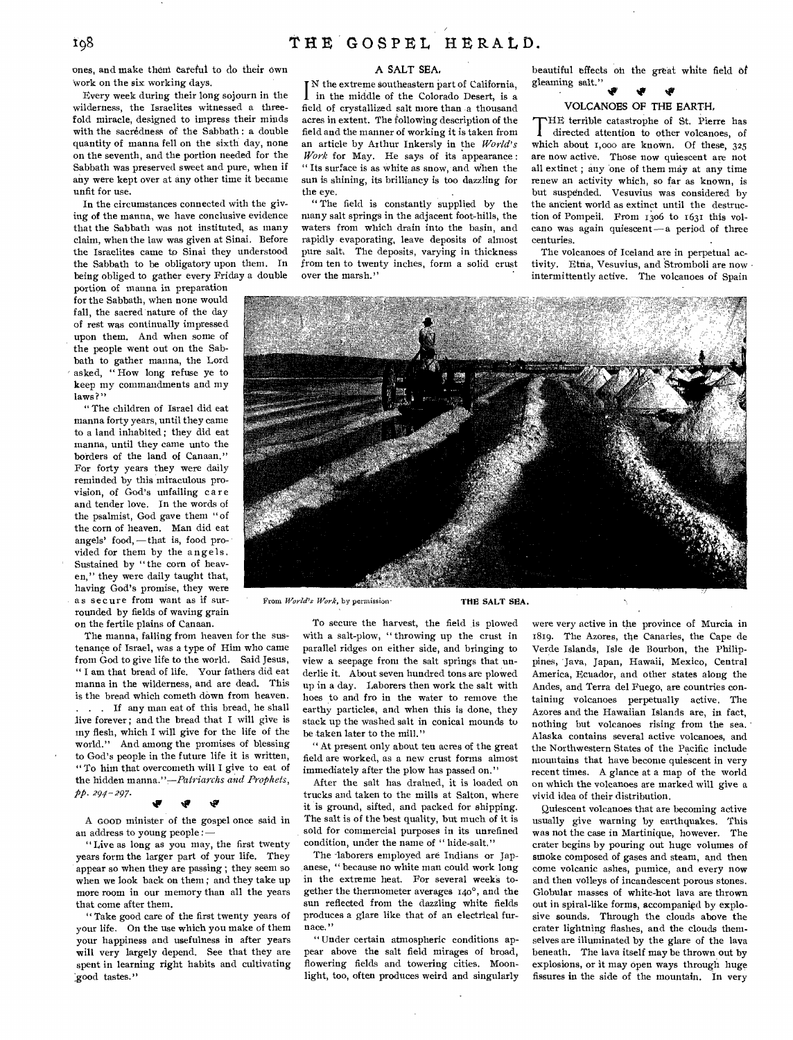ones, and make them careful to do their own work on the six working days.

Every week during their long sojourn in the wilderness, the Israelites witnessed a threefold miracle, designed to impress their minds with the sacredness of the Sabbath : a double quantity of manna fell on the sixth day, none on the seventh, and the portion needed for the Sabbath was preserved sweet and pure, when if any were kept over at any other time it became unfit for use.

In the circumstances connected with the giving of the manna, we have conclusive evidence that the Sabbath was not instituted, as many claim, when the law was given at Sinai. Before the Israelites came to Sinai they understood the Sabbath to be obligatory upon them. In being obliged to gather every Friday a double

portion of manna in preparation for the Sabbath, when none would fall, the sacred nature of the day of rest was continually impressed upon them. And when some of the people went out on the Sabbath to gather manna, the Lord asked, " How long refuse ye to keep my commandments and my laws?"

" The children of Israel did eat manna forty years, until they came to a land inhabited ; they did eat manna, until they came unto the borders of the land of Canaan." For forty years they were daily reminded by this miraculous provision, of God's unfailing care and tender love. In the words of the psalmist, God gave them " of the corn of heaven. Man did eat angels' food, —that is, food provided for them by the angels. Sustained by "the corn of heaven," they were daily taught that, having God's promise, they were as secure from want as if surrounded by fields of waving grain on the fertile plains of Canaan.

The manna, falling from heaven for the sustenance of Israel, was a type of Him who came from God to give life to the world. Said Jesus, " I am that bread of life. Your fathers did eat manna in the wilderness, and are dead. This is the bread which cometh down from heaven. . . . If any man eat of this bread, he shall live forever; and the bread that I will give is my flesh, which I will give for the life of the world." And among the promises of blessing to God's people in the future life it is written, " To him that overcometh will I give to eat of the hidden *manna."—Patriarchs and Prophets, PP. 29i-297.*  Nif le 4F

A GOOD minister of the gospel once said in an address to young people :-

" Live as long as you may, the first twenty years form the larger part of your life. They appear so when they are passing ; they seem so when we look back on them ; and they take up more room in our memory than all the years that come after them.

"Take good care of the first twenty years of your life. On the use which you make of them your happiness and usefulness in after years will very largely depend. See that they are spent in learning right habits and cultivating good tastes."

### A SALT SEA,

N the extreme southeastern part of California, I in the middle of the Colorado Desert, is a field of crystallized salt more than a thousand acres in extent. The following description of the field and the manner of working it is taken from an article by Arthur Inkersly in the *World's Work* for May. He says of its appearance : " Its surface is as white as snow, and when the sun is shining, its brilliancy is too dazzling for the eye.

" The field is constantly supplied by the many salt springs in the adjacent foot-hills, the waters from which drain into the basin, and rapidly evaporating, leave deposits of almost pure salt, The deposits, varying in thickness from ten to twenty inches, form a solid crust over the marsh."

beautiful effects oh the great white field **of**  gleaming salt."

# If IF I/ VOLCANOES OF THE EARTH,

THE terrible catastrophe of St. Pierre has<br>directed attention to other volcanoes, of HE terrible catastrophe of St. Pierre has which about 1,000 are known. Of these, 325 are now active. Those now quiescent are not all extinct ; any one of them may at any time renew an activity which, so far as known, is but suspended. Vesuvius was considered by the ancient world as extinct until the destruction of Pompeii. From 1306 to 1631 this vol-

centuries. The volcanoes of Iceland are in perpetual activity. Etna, Vesuvius, and Stromboli are now • intermittently active. The volcanoes of Spain

cano was again quiescent — a period of three



From *World's Work*, by permission. **THE SALT SEA.** 

To secure the harvest, the field is plowed with a salt-plow, " throwing up the crust in parallel ridges on either side, and bringing to view a seepage from the salt springs that underlie it. About seven hundred tons are plowed up in a day. Laborers then work the salt with hoes to and fro in the water to remove the earthy particles, and when this is done, they stack up the washed salt in conical mounds to be taken later to the mill."

" At present only about ten acres of the great field are worked, as a new crust forms almost immediately after the plow has passed on."

After the salt has drained, it is loaded on trucks and taken to the mills at Salton, where it is ground, sifted, and packed for shipping. The salt is of the best quality, but much of it is sold for commercial purposes in its unrefined condition, under the name of " hide-salt."

The laborers employed are Indians or Japanese, " because no white man could work long in the extreme heat. For several weeks together the thermometer averages 140°, and the sun reflected from the dazzling white fields produces a glare like that of an electrical furnace."

"Under certain atmospheric conditions appear above the salt field mirages of broad, flowering fields and towering cities. Moonlight, too, often produces weird and singularly

were very active in the province of Murcia in 1819. The Azores, the Canaries, the Cape de Verde Islands, Isle de Bourbon, the Philippines, Java, Japan, Hawaii, Mexico, Central America, Ecuador, and other states along the Andes, and Terra del Fuego, are countries containing volcanoes perpetually active. The Azores and the Hawaiian Islands are, in fact, nothing but volcanoes rising from the sea. Alaska contains several active volcanoes, and the Northwestern States of the Pacific include mountains that have become quiescent in very recent times. A glance at a map of the world on which the volcanoes are marked will give a vivid idea of their distribution.

Quiescent volcanoes that are becoming active usually give warning by earthquakes. This was not the case in Martinique, however. The crater begins by pouring out huge volumes of smoke composed of gases and steam, and then come volcanic ashes, pumice, and every now and then volleys of incandescent porous stones. Globular masses of white-hot lava are thrown out in spiral-like forms, accompanied by explosive sounds. Through the clouds above the crater lightning flashes, and the clouds themselves are illuminated by the glare of the lava beneath. The lava itself may be thrown out by explosions, or it may open ways through huge fissures in the side of the mountain. In very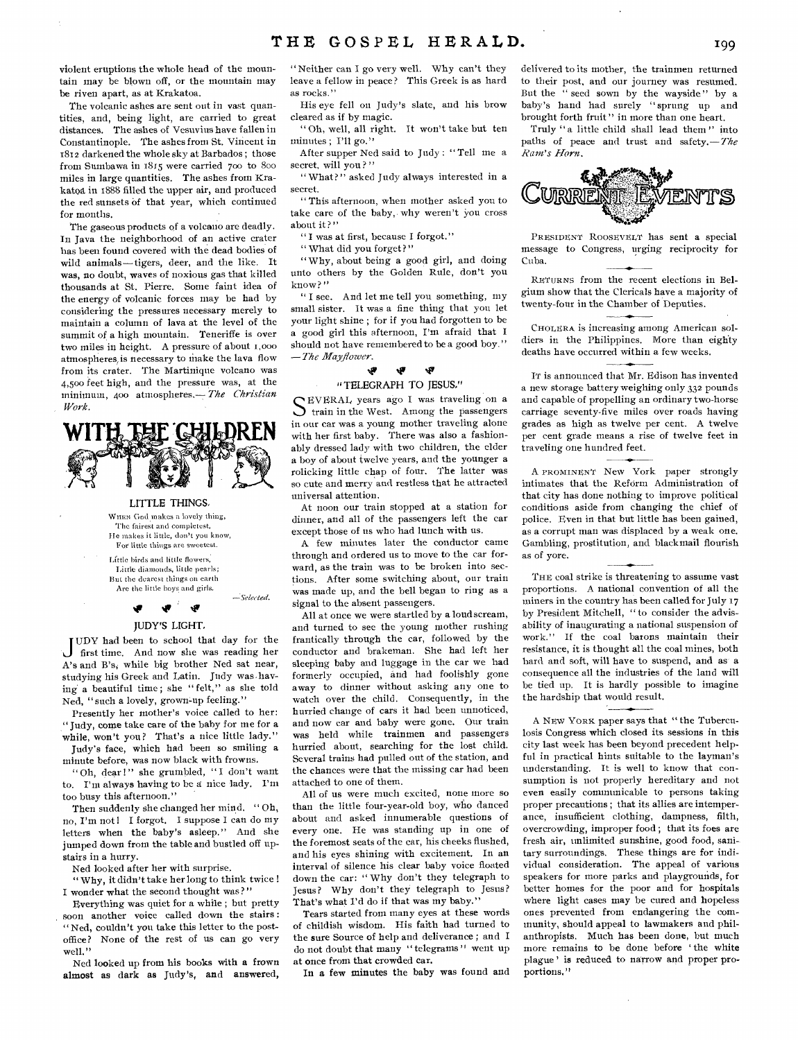violent eruptions the whole head of the mountain may be blown off, or the mountain may be riven apart, as at Krakatoa.

The volcanic ashes are sent out in vast quantities, and, being light, are carried to great distances. The ashes of Vesuvius have fallen in Constantinople. The ashes from St. Vincent in 1812 darkened the whole sky at Barbados ; those from Sumbawa in 1815 were carried 700 to 800 miles in large quantities. The ashes from Krakatoa in 1888 filled the upper air, and produced the red sunsets of that year, which continued for months.

The gaseous products of a volcano are deadly. In Java the neighborhood of an active crater has been found covered with the dead bodies of wild animals—tigers, deer, and the like. It was, no doubt, waves of noxious gas that killed thousands at St. Pierre. Some faint idea of the energy of volcanic forces may be had by considering the pressures necessary merely to maintain a column of lava at the level of the summit of a high mountain. Teneriffe is over two miles in height. A pressure of about 1,000 atmospheres, is necessary to make the lava flow from its crater. The Martinique volcano was 4,50o feet high, and the pressure was, at the minimum, 40o atmospheres.— *The Chrislian Work.* 



LITTLE THINGS,

WHEN God makes a lovely thing, The fairest and completest, He makes it little, don't you know, For little things are sweetest.

Little birds and little flowers. Little diamonds, little pearls; But the dearest things on earth Arc the little boys and girls.

# JUDY'S LIGHT,

Nay tr

*-Selected.* 

JUDY had been to school that day for the first time. And now she was reading her A's and B's, while big brother Ned sat near, UDY had been to school that day for the first time. And now she was reading her studying his Greek and Latin. Judy was having a beautiful time ; she " felt," as she told Ned, " such a lovely, grown-up feeling."

Presently her mother's voice called to her: " Judy, come take care of the baby for me for a while, won't you? That's a nice little lady."

Judy's face, which bad been so smiling a minute before, was now black with frowns.

" Oh, dear !" she grumbled, "I don't want to. I'm always having to be a nice lady. I'm too busy this afternoon."

Then suddenly she changed her mind. "Oh, no, I'm not I I forgot. I suppose I can do my letters when the baby's asleep." And she jumped down from the table and bustled off upstairs in a hurry.

Ned looked after her with surprise.

" Why, it didn't take her long to think twice ! I wonder what the second thought was?"

Everything was quiet for a while ; but pretty soon another voice called down the stairs : " Ned, couldn't you take this letter to the postoffice? None of the rest of us can go very well."

Ned looked up from his books with a frown almost as dark as Judy's, and answered,

"Neither can I go very well. Why can't they leave a fellow in peace? This Greek is as hard as rocks."

His *eye* fell on Judy's slate, and his brow cleared as if by magic.

" Oh, well, all right. It won't take but ten minutes ; I'll go."

After supper Ned said to Judy : " Tell me a secret, will you?"

"What?" asked Judy always interested in a secret.

" This afternoon, when mother asked you to take care of the baby, why weren't you cross about it?"  $\hspace{0.02cm}$ 

" I was at first, because I forgot."

 $\lq\lq$  What did you forget?"

" Why, about being a good girl, and doing unto others by the Golden Rule, don't you know ? "

" I see. And let me tell you something, my small sister. It was a fine thing that you let your light shine ; for if you had forgotten to be a good girl this afternoon, I'm afraid that I should not have remembered to be a good boy." *—The Mayflower.* 

#### **N? I?**

#### " TELEGRAPH TO JESUS,"

SEVERAL years ago I was traveling on a<br>train in the West. Among the passengers EVERAL, years ago I was traveling on a in our car was a young mother traveling alone with her first baby. There was also a fashionably dressed lady with two children, the elder a boy of about twelve years, and the younger a rolicking little chap of four. The latter was so cute and merry and restless that he attracted universal attention.

At noon our train stopped at a station for dinner, and all of the passengers left the car except those of us who had lunch with us.

A few minutes later the conductor came through and ordered us to move to the car forward, as the train was to be broken into sections. After some switching about, our train was made up, and the bell began to ring as a signal to the absent passengers.

All at once we were startled by a loud scream, and turned to see the young mother rushing frantically through the car, followed by the conductor and brakeman. She had left her sleeping baby and luggage in the car we had formerly occupied, and had foolishly gone away to dinner without asking any one to watch over the child. Consequently, in the hurried change of cars it had been unnoticed, and now car and baby were gone. Our train was held while trainmen and passengers hurried about, searching for the lost child. Several trains had pulled out of the station, and the chances were that the missing car had been attached to one of them.

All of us were much excited, none more so than the little four-year-old boy, who danced about and asked innumerable questions of every one. He was standing up in one of the foremost seats of the car, his cheeks flushed, and his eyes shining with excitement. In an interval of silence his clear baby voice floated down the car: " Why don't they telegraph to Jesus? Why don't they telegraph to Jesus? That's what I'd do if that was my baby."

Tears started from many eyes at these words of childish wisdom. His faith had turned to the sure Source of help and deliverance ; and I do not doubt that many " telegrams " went up at once from that crowded car.

In a few minutes the baby was found and

delivered to its mother, the trainmen returned to their post, and our journey was resumed. But the " seed sown by the wayside" by a baby's hand had surely " sprung up and brought forth fruit" in more than one heart.

Truly " a little child shall lead them " into paths of peace and trust and safety.—The *Ram's Horn,* 



PRESIDENT ROOSEVELT has sent a special message to Congress, urging reciprocity for Cuba.

RETURNS from the recent elections in Belgium show that the Clericals have a majority of twenty-four in the Chamber of Deputies.

CHOLERA is increasing among American soldiers in the Philippines. More than eighty deaths have occurred within a few weeks.

IT is announced that Mr. Edison has invented a new storage battery weighing only 332 pounds and capable of propelling an ordinary two-horse carriage seventy-five miles over roads having grades as high as twelve per cent. A twelve per cent grade means a rise of twelve feet in traveling one hundred feet.

A PROMINENT New York paper strongly intimates that the Reform Administration of that city has done nothing to improve political conditions aside from changing the chief of police. Even in that but little has been gained, as a corrupt man was displaced by a weak one. Gambling, prostitution, and blackmail flourish as of yore.

THE coal strike is threatening to assume vast proportions. A national convention of all the miners in the country has been called for July 17 by President Mitchell, " to consider the advisability of inaugurating a national suspension of work." If the coal batons maintain their resistance, it is thought all the coal mines, both hard and soft, will have to suspend, and as a consequence all the industries of the land will be tied up. It is hardly possible to imagine the hardship that would result.

A NEW YORK paper says that " the Tuberculosis Congress which closed its sessions in this city last week has been beyond precedent helpful in practical hints suitable to the layman's understanding. It is well to know that consumption is not properly hereditary and not even easily communicable to persons taking proper precautions ; that its allies are intemperance, insufficient clothing, dampness, filth, overcrowding, improper food ; that its foes are fresh air, unlimited sunshine, good food, sanitary surroundings. These things are for individual consideration. The appeal of various speakers for more parks and playgrounds, for better homes for the poor and for hospitals where light cases may be cured and hopeless ones prevented from endangering the comtnunity, should appeal to lawmakers and philanthropists. Much has been done, but much more remains to be done before ' the white plague' is reduced to narrow and proper proportions,"